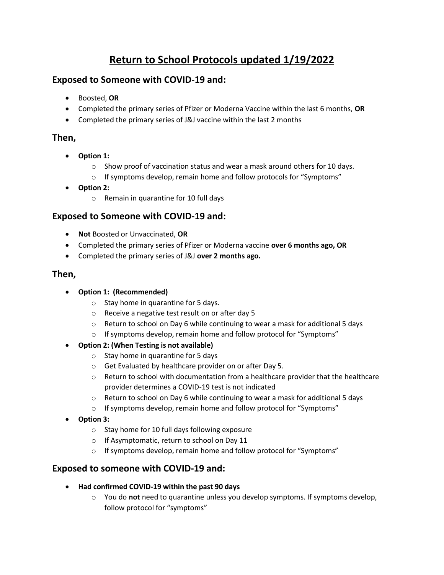# **Return to School Protocols updated 1/19/2022**

# **Exposed to Someone with COVID-19 and:**

- Boosted, **OR**
- Completed the primary series of Pfizer or Moderna Vaccine within the last 6 months, **OR**
- Completed the primary series of J&J vaccine within the last 2 months

# **Then,**

- **Option 1:**
	- $\circ$  Show proof of vaccination status and wear a mask around others for 10 days.
	- o If symptoms develop, remain home and follow protocols for "Symptoms"
- **Option 2:**
	- o Remain in quarantine for 10 full days

# **Exposed to Someone with COVID-19 and:**

- **Not** Boosted or Unvaccinated, **OR**
- Completed the primary series of Pfizer or Moderna vaccine **over 6 months ago, OR**
- Completed the primary series of J&J **over 2 months ago.**

#### **Then,**

- **Option 1: (Recommended)**
	- o Stay home in quarantine for 5 days.
	- o Receive a negative test result on or after day 5
	- o Return to school on Day 6 while continuing to wear a mask for additional 5 days
	- o If symptoms develop, remain home and follow protocol for "Symptoms"
- **Option 2: (When Testing is not available)**
	- o Stay home in quarantine for 5 days
	- o Get Evaluated by healthcare provider on or after Day 5.
	- $\circ$  Return to school with documentation from a healthcare provider that the healthcare provider determines a COVID-19 test is not indicated
	- o Return to school on Day 6 while continuing to wear a mask for additional 5 days
	- o If symptoms develop, remain home and follow protocol for "Symptoms"
- **Option 3:**
	- o Stay home for 10 full days following exposure
	- o If Asymptomatic, return to school on Day 11
	- o If symptoms develop, remain home and follow protocol for "Symptoms"

# **Exposed to someone with COVID-19 and:**

- **Had confirmed COVID-19 within the past 90 days**
	- o You do **not** need to quarantine unless you develop symptoms. If symptoms develop, follow protocol for "symptoms"